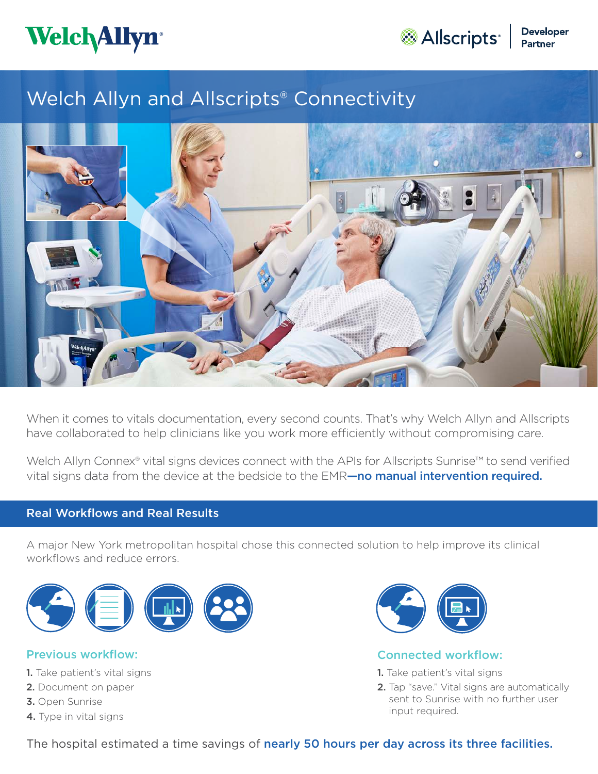

Allscripts<sup>\*</sup> Peveloper

# Welch Allyn and Allscripts® Connectivity



When it comes to vitals documentation, every second counts. That's why Welch Allyn and Allscripts have collaborated to help clinicians like you work more efficiently without compromising care.

Welch Allyn Connex® vital signs devices connect with the APIs for Allscripts Sunrise™ to send verified vital signs data from the device at the bedside to the EMR—no manual intervention required.

# Real Workflows and Real Results

A major New York metropolitan hospital chose this connected solution to help improve its clinical workflows and reduce errors.



- 1. Take patient's vital signs
- 2. Document on paper
- 3. Open Sunrise
- 4. Type in vital signs



### **Previous workflow:** The connected workflow:

- 1. Take patient's vital signs
- 2. Tap "save." Vital signs are automatically sent to Sunrise with no further user input required.

The hospital estimated a time savings of nearly 50 hours per day across its three facilities.